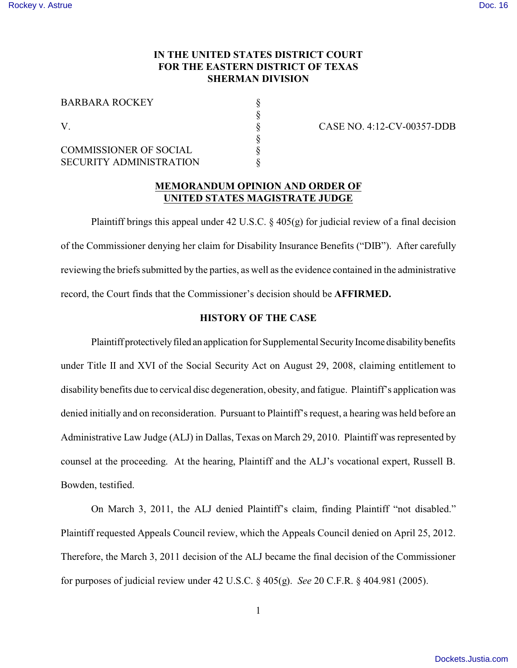# **IN THE UNITED STATES DISTRICT COURT FOR THE EASTERN DISTRICT OF TEXAS SHERMAN DIVISION**

| <b>BARBARA ROCKEY</b>          |  |
|--------------------------------|--|
| V                              |  |
|                                |  |
|                                |  |
| <b>COMMISSIONER OF SOCIAL</b>  |  |
| <b>SECURITY ADMINISTRATION</b> |  |

CASE NO. 4:12-CV-00357-DDB

### **MEMORANDUM OPINION AND ORDER OF UNITED STATES MAGISTRATE JUDGE**

Plaintiff brings this appeal under 42 U.S.C. § 405(g) for judicial review of a final decision of the Commissioner denying her claim for Disability Insurance Benefits ("DIB"). After carefully reviewing the briefs submitted by the parties, as well as the evidence contained in the administrative record, the Court finds that the Commissioner's decision should be **AFFIRMED.**

## **HISTORY OF THE CASE**

Plaintiff protectively filed an application for Supplemental Security Income disability benefits under Title II and XVI of the Social Security Act on August 29, 2008, claiming entitlement to disability benefits due to cervical disc degeneration, obesity, and fatigue. Plaintiff's application was denied initially and on reconsideration. Pursuant to Plaintiff's request, a hearing was held before an Administrative Law Judge (ALJ) in Dallas, Texas on March 29, 2010. Plaintiff was represented by counsel at the proceeding. At the hearing, Plaintiff and the ALJ's vocational expert, Russell B. Bowden, testified.

On March 3, 2011, the ALJ denied Plaintiff's claim, finding Plaintiff "not disabled." Plaintiff requested Appeals Council review, which the Appeals Council denied on April 25, 2012. Therefore, the March 3, 2011 decision of the ALJ became the final decision of the Commissioner for purposes of judicial review under 42 U.S.C. § 405(g). *See* 20 C.F.R. § 404.981 (2005).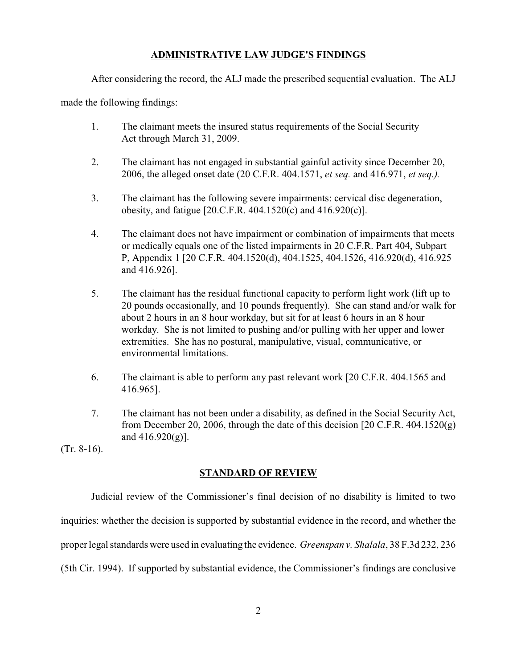#### **ADMINISTRATIVE LAW JUDGE'S FINDINGS**

After considering the record, the ALJ made the prescribed sequential evaluation. The ALJ

made the following findings:

- 1. The claimant meets the insured status requirements of the Social Security Act through March 31, 2009.
- 2. The claimant has not engaged in substantial gainful activity since December 20, 2006, the alleged onset date (20 C.F.R. 404.1571, *et seq.* and 416.971, *et seq.).*
- 3. The claimant has the following severe impairments: cervical disc degeneration, obesity, and fatigue [20.C.F.R. 404.1520(c) and 416.920(c)].
- 4. The claimant does not have impairment or combination of impairments that meets or medically equals one of the listed impairments in 20 C.F.R. Part 404, Subpart P, Appendix 1 [20 C.F.R. 404.1520(d), 404.1525, 404.1526, 416.920(d), 416.925 and 416.926].
- 5. The claimant has the residual functional capacity to perform light work (lift up to 20 pounds occasionally, and 10 pounds frequently). She can stand and/or walk for about 2 hours in an 8 hour workday, but sit for at least 6 hours in an 8 hour workday. She is not limited to pushing and/or pulling with her upper and lower extremities. She has no postural, manipulative, visual, communicative, or environmental limitations.
- 6. The claimant is able to perform any past relevant work [20 C.F.R. 404.1565 and 416.965].
- 7. The claimant has not been under a disability, as defined in the Social Security Act, from December 20, 2006, through the date of this decision  $[20 \text{ C.F.R. } 404.1520(g)]$ and  $416.920(g)$ ].

(Tr. 8-16).

## **STANDARD OF REVIEW**

Judicial review of the Commissioner's final decision of no disability is limited to two

inquiries: whether the decision is supported by substantial evidence in the record, and whether the

proper legal standards were used in evaluating the evidence. *Greenspan v. Shalala*, 38 F.3d 232, 236

(5th Cir. 1994). If supported by substantial evidence, the Commissioner's findings are conclusive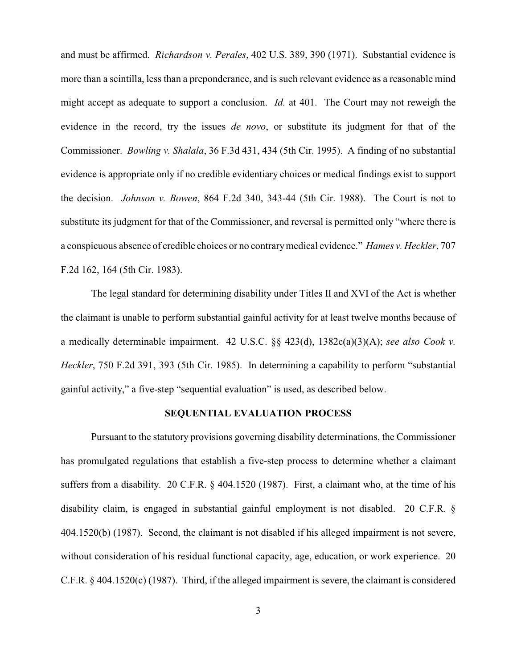and must be affirmed. *Richardson v. Perales*, 402 U.S. 389, 390 (1971). Substantial evidence is more than a scintilla, less than a preponderance, and is such relevant evidence as a reasonable mind might accept as adequate to support a conclusion. *Id.* at 401. The Court may not reweigh the evidence in the record, try the issues *de novo*, or substitute its judgment for that of the Commissioner. *Bowling v. Shalala*, 36 F.3d 431, 434 (5th Cir. 1995). A finding of no substantial evidence is appropriate only if no credible evidentiary choices or medical findings exist to support the decision. *Johnson v. Bowen*, 864 F.2d 340, 343-44 (5th Cir. 1988). The Court is not to substitute its judgment for that of the Commissioner, and reversal is permitted only "where there is a conspicuous absence of credible choices or no contrary medical evidence." *Hames v. Heckler*, 707 F.2d 162, 164 (5th Cir. 1983).

The legal standard for determining disability under Titles II and XVI of the Act is whether the claimant is unable to perform substantial gainful activity for at least twelve months because of a medically determinable impairment. 42 U.S.C. §§ 423(d), 1382c(a)(3)(A); *see also Cook v. Heckler*, 750 F.2d 391, 393 (5th Cir. 1985). In determining a capability to perform "substantial gainful activity," a five-step "sequential evaluation" is used, as described below.

#### **SEQUENTIAL EVALUATION PROCESS**

Pursuant to the statutory provisions governing disability determinations, the Commissioner has promulgated regulations that establish a five-step process to determine whether a claimant suffers from a disability. 20 C.F.R. § 404.1520 (1987). First, a claimant who, at the time of his disability claim, is engaged in substantial gainful employment is not disabled. 20 C.F.R. § 404.1520(b) (1987). Second, the claimant is not disabled if his alleged impairment is not severe, without consideration of his residual functional capacity, age, education, or work experience. 20 C.F.R. § 404.1520(c) (1987). Third, if the alleged impairment is severe, the claimant is considered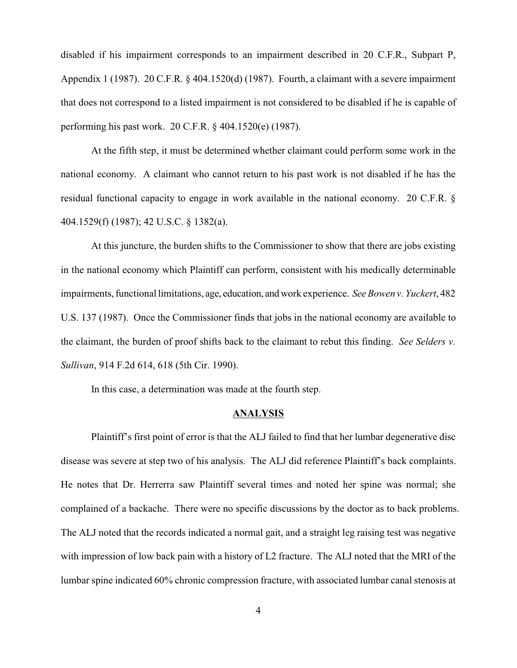disabled if his impairment corresponds to an impairment described in 20 C.F.R., Subpart P, Appendix 1 (1987). 20 C.F.R. § 404.1520(d) (1987). Fourth, a claimant with a severe impairment that does not correspond to a listed impairment is not considered to be disabled if he is capable of performing his past work. 20 C.F.R. § 404.1520(e) (1987).

At the fifth step, it must be determined whether claimant could perform some work in the national economy. A claimant who cannot return to his past work is not disabled if he has the residual functional capacity to engage in work available in the national economy. 20 C.F.R. § 404.1529(f) (1987); 42 U.S.C. § 1382(a).

At this juncture, the burden shifts to the Commissioner to show that there are jobs existing in the national economy which Plaintiff can perform, consistent with his medically determinable impairments, functional limitations, age, education, and work experience. *See Bowen v. Yuckert*, 482 U.S. 137 (1987). Once the Commissioner finds that jobs in the national economy are available to the claimant, the burden of proof shifts back to the claimant to rebut this finding. *See Selders v. Sullivan*, 914 F.2d 614, 618 (5th Cir. 1990).

In this case, a determination was made at the fourth step.

#### **ANALYSIS**

Plaintiff's first point of error is that the ALJ failed to find that her lumbar degenerative disc disease was severe at step two of his analysis. The ALJ did reference Plaintiff's back complaints. He notes that Dr. Herrerra saw Plaintiff several times and noted her spine was normal; she complained of a backache. There were no specific discussions by the doctor as to back problems. The ALJ noted that the records indicated a normal gait, and a straight leg raising test was negative with impression of low back pain with a history of L2 fracture. The ALJ noted that the MRI of the lumbar spine indicated 60% chronic compression fracture, with associated lumbar canal stenosis at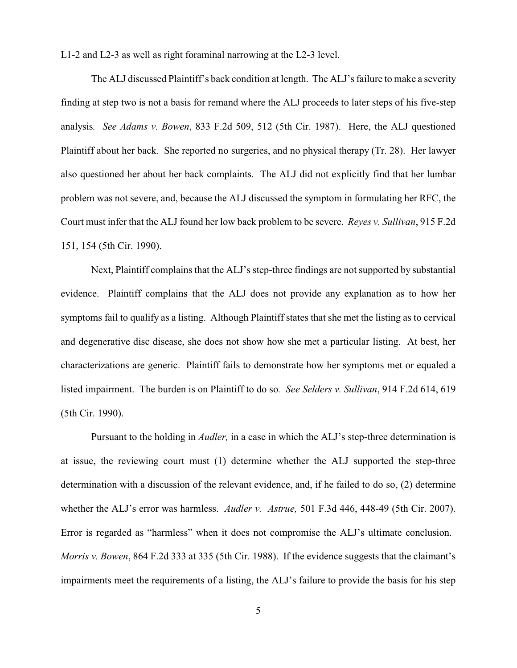L1-2 and L2-3 as well as right foraminal narrowing at the L2-3 level.

The ALJ discussed Plaintiff's back condition at length. The ALJ's failure to make a severity finding at step two is not a basis for remand where the ALJ proceeds to later steps of his five-step analysis*. See Adams v. Bowen*, 833 F.2d 509, 512 (5th Cir. 1987). Here, the ALJ questioned Plaintiff about her back. She reported no surgeries, and no physical therapy (Tr. 28). Her lawyer also questioned her about her back complaints. The ALJ did not explicitly find that her lumbar problem was not severe, and, because the ALJ discussed the symptom in formulating her RFC, the Court must infer that the ALJ found her low back problem to be severe. *Reyes v. Sullivan*, 915 F.2d 151, 154 (5th Cir. 1990).

Next, Plaintiff complains that the ALJ's step-three findings are not supported by substantial evidence. Plaintiff complains that the ALJ does not provide any explanation as to how her symptoms fail to qualify as a listing. Although Plaintiff states that she met the listing as to cervical and degenerative disc disease, she does not show how she met a particular listing. At best, her characterizations are generic. Plaintiff fails to demonstrate how her symptoms met or equaled a listed impairment. The burden is on Plaintiff to do so*. See Selders v. Sullivan*, 914 F.2d 614, 619 (5th Cir. 1990).

Pursuant to the holding in *Audler,* in a case in which the ALJ's step-three determination is at issue, the reviewing court must (1) determine whether the ALJ supported the step-three determination with a discussion of the relevant evidence, and, if he failed to do so, (2) determine whether the ALJ's error was harmless. *Audler v. Astrue,* 501 F.3d 446, 448-49 (5th Cir. 2007). Error is regarded as "harmless" when it does not compromise the ALJ's ultimate conclusion. *Morris v. Bowen*, 864 F.2d 333 at 335 (5th Cir. 1988). If the evidence suggests that the claimant's impairments meet the requirements of a listing, the ALJ's failure to provide the basis for his step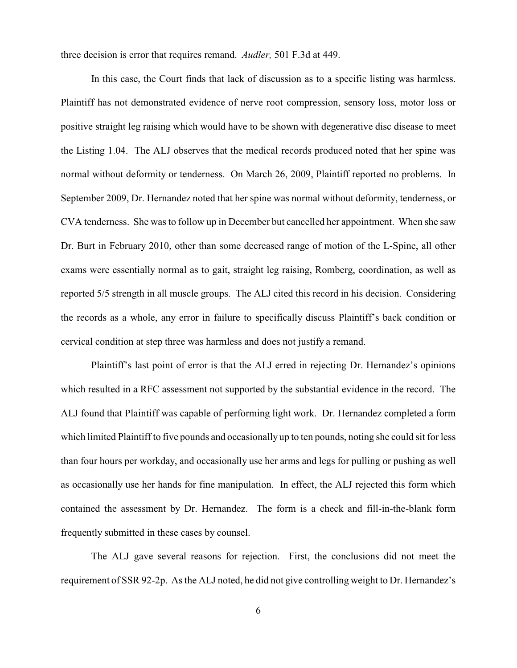three decision is error that requires remand. *Audler,* 501 F.3d at 449.

In this case, the Court finds that lack of discussion as to a specific listing was harmless. Plaintiff has not demonstrated evidence of nerve root compression, sensory loss, motor loss or positive straight leg raising which would have to be shown with degenerative disc disease to meet the Listing 1.04. The ALJ observes that the medical records produced noted that her spine was normal without deformity or tenderness. On March 26, 2009, Plaintiff reported no problems. In September 2009, Dr. Hernandez noted that her spine was normal without deformity, tenderness, or CVA tenderness. She was to follow up in December but cancelled her appointment. When she saw Dr. Burt in February 2010, other than some decreased range of motion of the L-Spine, all other exams were essentially normal as to gait, straight leg raising, Romberg, coordination, as well as reported 5/5 strength in all muscle groups. The ALJ cited this record in his decision. Considering the records as a whole, any error in failure to specifically discuss Plaintiff's back condition or cervical condition at step three was harmless and does not justify a remand.

Plaintiff's last point of error is that the ALJ erred in rejecting Dr. Hernandez's opinions which resulted in a RFC assessment not supported by the substantial evidence in the record. The ALJ found that Plaintiff was capable of performing light work. Dr. Hernandez completed a form which limited Plaintiff to five pounds and occasionally up to ten pounds, noting she could sit for less than four hours per workday, and occasionally use her arms and legs for pulling or pushing as well as occasionally use her hands for fine manipulation. In effect, the ALJ rejected this form which contained the assessment by Dr. Hernandez. The form is a check and fill-in-the-blank form frequently submitted in these cases by counsel.

The ALJ gave several reasons for rejection. First, the conclusions did not meet the requirement of SSR 92-2p. As the ALJ noted, he did not give controlling weight to Dr. Hernandez's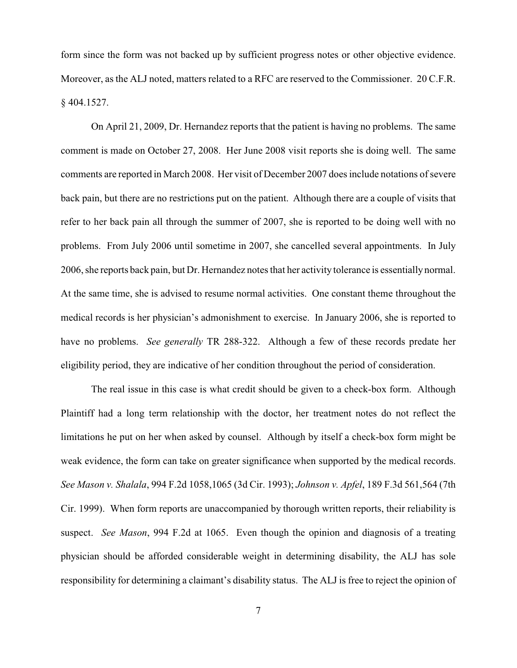form since the form was not backed up by sufficient progress notes or other objective evidence. Moreover, as the ALJ noted, matters related to a RFC are reserved to the Commissioner. 20 C.F.R. § 404.1527.

On April 21, 2009, Dr. Hernandez reports that the patient is having no problems. The same comment is made on October 27, 2008. Her June 2008 visit reports she is doing well. The same comments are reported in March 2008. Her visit of December 2007 does include notations of severe back pain, but there are no restrictions put on the patient. Although there are a couple of visits that refer to her back pain all through the summer of 2007, she is reported to be doing well with no problems. From July 2006 until sometime in 2007, she cancelled several appointments. In July 2006, she reports back pain, but Dr. Hernandez notes that her activity tolerance is essentially normal. At the same time, she is advised to resume normal activities. One constant theme throughout the medical records is her physician's admonishment to exercise. In January 2006, she is reported to have no problems. *See generally* TR 288-322. Although a few of these records predate her eligibility period, they are indicative of her condition throughout the period of consideration.

The real issue in this case is what credit should be given to a check-box form. Although Plaintiff had a long term relationship with the doctor, her treatment notes do not reflect the limitations he put on her when asked by counsel. Although by itself a check-box form might be weak evidence, the form can take on greater significance when supported by the medical records. *See Mason v. Shalala*, 994 F.2d 1058,1065 (3d Cir. 1993); *Johnson v. Apfel*, 189 F.3d 561,564 (7th Cir. 1999). When form reports are unaccompanied by thorough written reports, their reliability is suspect. *See Mason*, 994 F.2d at 1065. Even though the opinion and diagnosis of a treating physician should be afforded considerable weight in determining disability, the ALJ has sole responsibility for determining a claimant's disability status. The ALJ is free to reject the opinion of